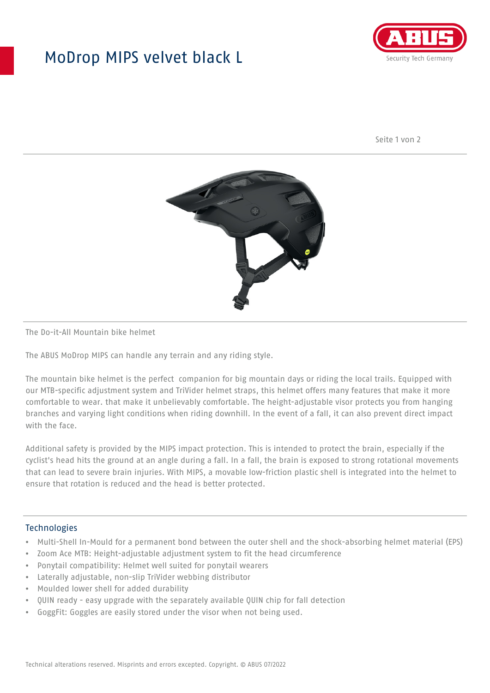## MoDrop MIPS velvet black L



Seite 1 von 2



#### The Do-it-All Mountain bike helmet

The ABUS MoDrop MIPS can handle any terrain and any riding style.

The mountain bike helmet is the perfect companion for big mountain days or riding the local trails. Equipped with our MTB-specific adjustment system and TriVider helmet straps, this helmet offers many features that make it more comfortable to wear. that make it unbelievably comfortable. The height-adjustable visor protects you from hanging branches and varying light conditions when riding downhill. In the event of a fall, it can also prevent direct impact with the face.

Additional safety is provided by the MIPS impact protection. This is intended to protect the brain, especially if the cyclist's head hits the ground at an angle during a fall. In a fall, the brain is exposed to strong rotational movements that can lead to severe brain injuries. With MIPS, a movable low-friction plastic shell is integrated into the helmet to ensure that rotation is reduced and the head is better protected.

#### **Technologies**

- Multi-Shell In-Mould for a permanent bond between the outer shell and the shock-absorbing helmet material (EPS)
- Zoom Ace MTB: Height-adjustable adjustment system to fit the head circumference
- Ponytail compatibility: Helmet well suited for ponytail wearers
- Laterally adjustable, non-slip TriVider webbing distributor
- Moulded lower shell for added durability
- QUIN ready easy upgrade with the separately available QUIN chip for fall detection
- GoggFit: Goggles are easily stored under the visor when not being used.